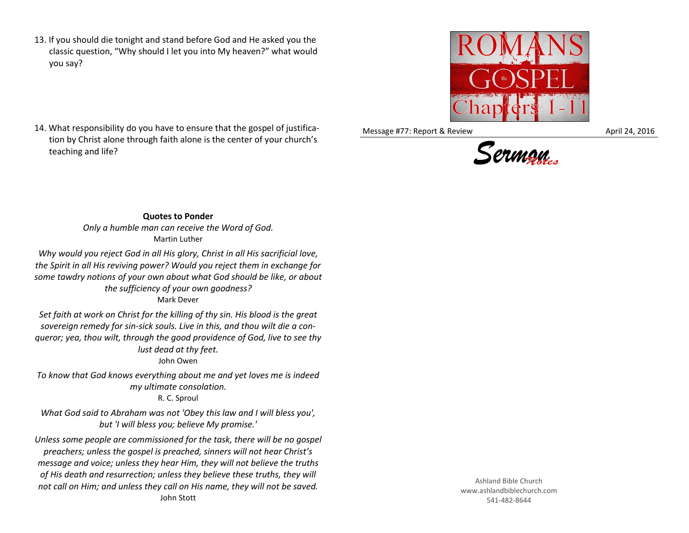13. If you should die tonight and stand before God and He asked you the classic question, "Why should I let you into My heaven?" what would you say?



Message #77: Report & Review April 24, 2016



## 14. What responsibility do you have to ensure that the gospel of justification by Christ alone through faith alone is the center of your church's teaching and life?

**Quotes to Ponder** *Only a humble man can receive the Word of God.* Martin Luther

*Why would you reject God in all His glory, Christ in all His sacrificial love, the Spirit in all His reviving power? Would you reject them in exchange for some tawdry notions of your own about what God should be like, or about the sufficiency of your own goodness?* Mark Dever

*Set faith at work on Christ for the killing of thy sin. His blood is the great sovereign remedy for sin-sick souls. Live in this, and thou wilt die a conqueror; yea, thou wilt, through the good providence of God, live to see thy lust dead at thy feet.*

John Owen

*To know that God knows everything about me and yet loves me is indeed my ultimate consolation.* R. C. Sproul

*What God said to Abraham was not 'Obey this law and I will bless you', but 'I will bless you; believe My promise.'*

*Unless some people are commissioned for the task, there will be no gospel preachers; unless the gospel is preached, sinners will not hear Christ's message and voice; unless they hear Him, they will not believe the truths of His death and resurrection; unless they believe these truths, they will not call on Him; and unless they call on His name, they will not be saved.* John Stott

Ashland Bible Church www.ashlandbiblechurch.com 541-482-8644